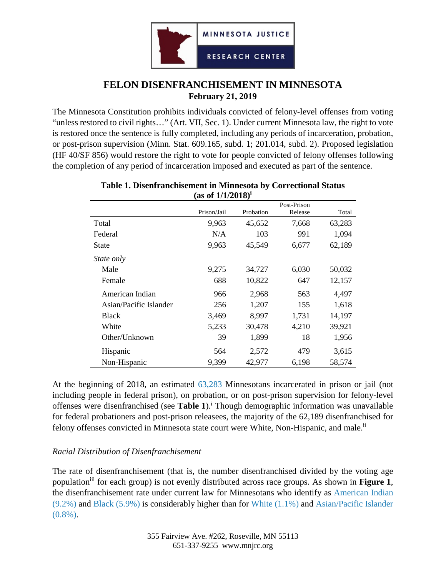

# **FELON DISENFRANCHISEMENT IN MINNESOTA February 21, 2019**

The Minnesota Constitution prohibits individuals convicted of felony-level offenses from voting "unless restored to civil rights…" (Art. VII, Sec. 1). Under current Minnesota law, the right to vote is restored once the sentence is fully completed, including any periods of incarceration, probation, or post-prison supervision (Minn. Stat. 609.165, subd. 1; 201.014, subd. 2). Proposed legislation (HF 40/SF 856) would restore the right to vote for people convicted of felony offenses following the completion of any period of incarceration imposed and executed as part of the sentence.

| (as 01 1/1/4010)       |             |           |             |        |  |  |
|------------------------|-------------|-----------|-------------|--------|--|--|
|                        | Prison/Jail | Probation | Post-Prison |        |  |  |
|                        |             |           | Release     | Total  |  |  |
| Total                  | 9,963       | 45,652    | 7,668       | 63,283 |  |  |
| Federal                | N/A         | 103       | 991         | 1,094  |  |  |
| <b>State</b>           | 9,963       | 45,549    | 6,677       | 62,189 |  |  |
| State only             |             |           |             |        |  |  |
| Male                   | 9,275       | 34,727    | 6,030       | 50,032 |  |  |
| Female                 | 688         | 10,822    | 647         | 12,157 |  |  |
| American Indian        | 966         | 2,968     | 563         | 4,497  |  |  |
| Asian/Pacific Islander | 256         | 1,207     | 155         | 1,618  |  |  |
| <b>Black</b>           | 3,469       | 8,997     | 1,731       | 14,197 |  |  |
| White                  | 5,233       | 30,478    | 4,210       | 39,921 |  |  |
| Other/Unknown          | 39          | 1,899     | 18          | 1,956  |  |  |
| Hispanic               | 564         | 2,572     | 479         | 3,615  |  |  |
| Non-Hispanic           | 9,399       | 42,977    | 6,198       | 58,574 |  |  |

#### **Table 1. Disenfranchisement in Minnesota by Correctional Status (as of 1/1/2018)i**

At the beginning of 2018, an estimated 63,283 Minnesotans incarcerated in prison or jail (not including people in federal prison), on probation, or on post-prison supervision for felony-level offenses were disenfranchised (see **Table 1**).<sup>i</sup> Though demographic information was unavailable for federal probationers and post-prison releasees, the majority of the 62,189 disenfranchised for felony offenses convicted in Minnesota state court were White, Non-Hispanic, and male.<sup>ii</sup>

## *Racial Distribution of Disenfranchisement*

The rate of disenfranchisement (that is, the number disenfranchised divided by the voting age populationiii for each group) is not evenly distributed across race groups. As shown in **Figure 1**, the disenfranchisement rate under current law for Minnesotans who identify as American Indian (9.2%) and Black (5.9%) is considerably higher than for White (1.1%) and Asian/Pacific Islander  $(0.8\%)$ .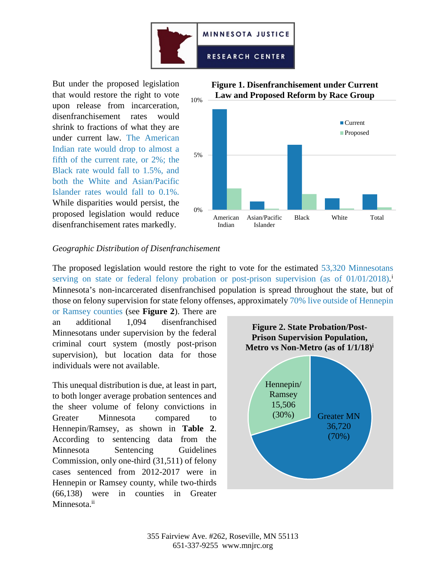

But under the proposed legislation that would restore the right to vote upon release from incarceration, disenfranchisement rates would shrink to fractions of what they are under current law. The American Indian rate would drop to almost a fifth of the current rate, or 2%; the Black rate would fall to 1.5%, and both the White and Asian/Pacific Islander rates would fall to 0.1%. While disparities would persist, the proposed legislation would reduce disenfranchisement rates markedly.





## *Geographic Distribution of Disenfranchisement*

The proposed legislation would restore the right to vote for the estimated 53,320 Minnesotans serv[i](#page-2-0)ng on state or federal felony probation or post-prison supervision (as of 01/01/2018).<sup>i</sup> Minnesota's non-incarcerated disenfranchised population is spread throughout the state, but of those on felony supervision for state felony offenses, approximately 70% live outside of Hennepin

or Ramsey counties (see **Figure 2**). There are an additional 1,094 disenfranchised Minnesotans under supervision by the federal criminal court system (mostly post-prison supervision), but location data for those individuals were not available.

This unequal distribution is due, at least in part, to both longer average probation sentences and the sheer volume of felony convictions in Greater Minnesota compared to Hennepin/Ramsey, as shown in **Table 2**. According to sentencing data from the Minnesota Sentencing Guidelines Commission, only one-third (31,511) of felony cases sentenced from 2012-2017 were in Hennepin or Ramsey county, while two-thirds (66,138) were in counties in Greater Minnesota.<sup>ii</sup>

<span id="page-1-0"></span>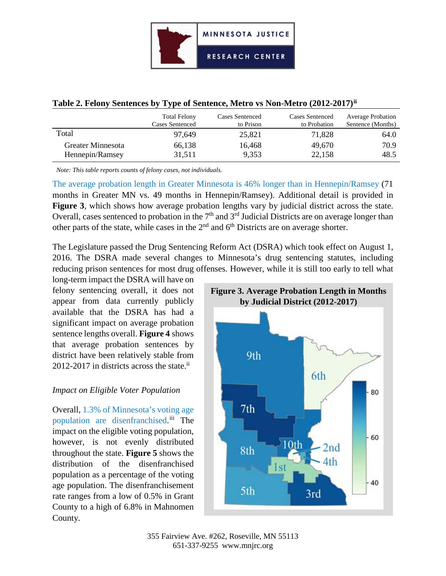|  |  |  |  | Table 2. Felony Sentences by Type of Sentence, Metro vs Non-Metro (2012-2017) <sup>ii</sup> |  |
|--|--|--|--|---------------------------------------------------------------------------------------------|--|
|--|--|--|--|---------------------------------------------------------------------------------------------|--|

|                   | <b>Total Felony</b><br><b>Cases Sentenced</b> | Cases Sentenced<br>to Prison | <b>Cases Sentenced</b><br>to Probation | <b>Average Probation</b><br>Sentence (Months) |
|-------------------|-----------------------------------------------|------------------------------|----------------------------------------|-----------------------------------------------|
| Total             | 97.649                                        | 25,821                       | 71,828                                 | 64.0                                          |
| Greater Minnesota | 66,138                                        | 16,468                       | 49,670                                 | 70.9                                          |
| Hennepin/Ramsey   | 31,511                                        | 9,353                        | 22,158                                 | 48.5                                          |

*Note: This table reports counts of felony cases, not individuals.* 

The average probation length in Greater Minnesota is 46% longer than in Hennepin/Ramsey (71 months in Greater MN vs. 49 months in Hennepin/Ramsey). Additional detail is provided in **Figure 3**, which shows how average probation lengths vary by judicial district across the state. Overall, cases sentenced to probation in the  $7<sup>th</sup>$  and  $3<sup>rd</sup>$  Judicial Districts are on average longer than other parts of the state, while cases in the 2nd and 6th Districts are on average shorter.

The Legislature passed the Drug Sentencing Reform Act (DSRA) which took effect on August 1, 2016. The DSRA made several changes to Minnesota's drug sentencing statutes, including reducing prison sentences for most drug offenses. However, while it is still too early to tell what

long-term impact the DSRA will have on felony sentencing overall, it does not appear from data currently publicly available that the DSRA has had a significant impact on average probation sentence lengths overall. **Figure 4** shows that average probation sentences by district have been relatively stable from 2012-2017 in districts across the state.<sup>ii</sup>

## *Impact on Eligible Voter Population*

<span id="page-2-4"></span><span id="page-2-3"></span><span id="page-2-2"></span><span id="page-2-0"></span>Overall, 1.3% of Minnesota's voting age population are disenfranchised.<sup>[iii](#page-2-3)</sup> The impact on the eligible voting population, however, is not evenly distributed throughout the state. **Figure 5** shows the distribution of the disenfranchised population as a percentage of the voting age population. The disenfranchisement rate ranges from a low of 0.5% in Grant County to a high of 6.8% in Mahnomen County.

<span id="page-2-1"></span>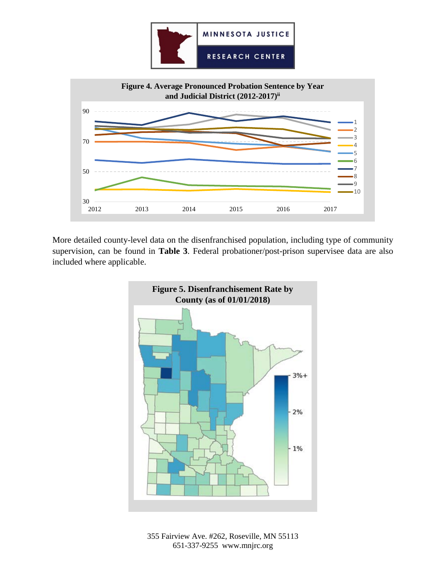



More detailed county-level data on the disenfranchised population, including type of community supervision, can be found in **Table 3**. Federal probationer/post-prison supervisee data are also included where applicable.



355 Fairview Ave. #262, Roseville, MN 55113 651-337-9255 www.mnjrc.org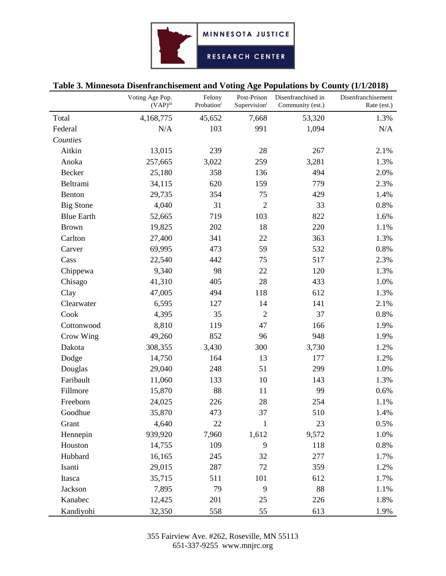# **Table 3. Minnesota Disenfranchisement and Voting Age Populations by County (1/1/2018)**

|                   | Voting Age Pop.<br>$(VAP)$ <sup>iii</sup> | Felony<br>Probationi | Post-Prison<br>Supervision <sup>i</sup> | Disenfranchised in<br>Community (est.) | Disenfranchisement<br>Rate (est.) |
|-------------------|-------------------------------------------|----------------------|-----------------------------------------|----------------------------------------|-----------------------------------|
| Total             | 4,168,775                                 | 45,652               | 7,668                                   | 53,320                                 | 1.3%                              |
| Federal           | N/A                                       | 103                  | 991                                     | 1,094                                  | N/A                               |
| Counties          |                                           |                      |                                         |                                        |                                   |
| Aitkin            | 13,015                                    | 239                  | 28                                      | 267                                    | 2.1%                              |
| Anoka             | 257,665                                   | 3,022                | 259                                     | 3,281                                  | 1.3%                              |
| <b>Becker</b>     | 25,180                                    | 358                  | 136                                     | 494                                    | 2.0%                              |
| Beltrami          | 34,115                                    | 620                  | 159                                     | 779                                    | 2.3%                              |
| Benton            | 29,735                                    | 354                  | 75                                      | 429                                    | 1.4%                              |
| <b>Big Stone</b>  | 4,040                                     | 31                   | $\overline{2}$                          | 33                                     | 0.8%                              |
| <b>Blue Earth</b> | 52,665                                    | 719                  | 103                                     | 822                                    | 1.6%                              |
| <b>Brown</b>      | 19,825                                    | 202                  | 18                                      | 220                                    | 1.1%                              |
| Carlton           | 27,400                                    | 341                  | 22                                      | 363                                    | 1.3%                              |
| Carver            | 69,995                                    | 473                  | 59                                      | 532                                    | 0.8%                              |
| Cass              | 22,540                                    | 442                  | 75                                      | 517                                    | 2.3%                              |
| Chippewa          | 9,340                                     | 98                   | 22                                      | 120                                    | 1.3%                              |
| Chisago           | 41,310                                    | 405                  | 28                                      | 433                                    | 1.0%                              |
| Clay              | 47,005                                    | 494                  | 118                                     | 612                                    | 1.3%                              |
| Clearwater        | 6,595                                     | 127                  | 14                                      | 141                                    | 2.1%                              |
| Cook              | 4,395                                     | 35                   | $\overline{2}$                          | 37                                     | 0.8%                              |
| Cottonwood        | 8,810                                     | 119                  | 47                                      | 166                                    | 1.9%                              |
| Crow Wing         | 49,260                                    | 852                  | 96                                      | 948                                    | 1.9%                              |
| Dakota            | 308,355                                   | 3,430                | 300                                     | 3,730                                  | 1.2%                              |
| Dodge             | 14,750                                    | 164                  | 13                                      | 177                                    | 1.2%                              |
| Douglas           | 29,040                                    | 248                  | 51                                      | 299                                    | 1.0%                              |
| Faribault         | 11,060                                    | 133                  | 10                                      | 143                                    | 1.3%                              |
| Fillmore          | 15,870                                    | 88                   | 11                                      | 99                                     | 0.6%                              |
| Freeborn          | 24,025                                    | 226                  | 28                                      | 254                                    | 1.1%                              |
| Goodhue           | 35,870                                    | 473                  | 37                                      | 510                                    | 1.4%                              |
| Grant             | 4,640                                     | 22                   | $\mathbf{1}$                            | 23                                     | 0.5%                              |
| Hennepin          | 939,920                                   | 7,960                | 1,612                                   | 9,572                                  | 1.0%                              |
| Houston           | 14,755                                    | 109                  | 9                                       | 118                                    | 0.8%                              |
| Hubbard           | 16,165                                    | 245                  | 32                                      | 277                                    | 1.7%                              |
| Isanti            | 29,015                                    | 287                  | 72                                      | 359                                    | 1.2%                              |
| Itasca            | 35,715                                    | 511                  | 101                                     | 612                                    | 1.7%                              |
| Jackson           | 7,895                                     | 79                   | 9                                       | 88                                     | 1.1%                              |
| Kanabec           | 12,425                                    | 201                  | 25                                      | 226                                    | 1.8%                              |
| Kandiyohi         | 32,350                                    | 558                  | 55                                      | 613                                    | 1.9%                              |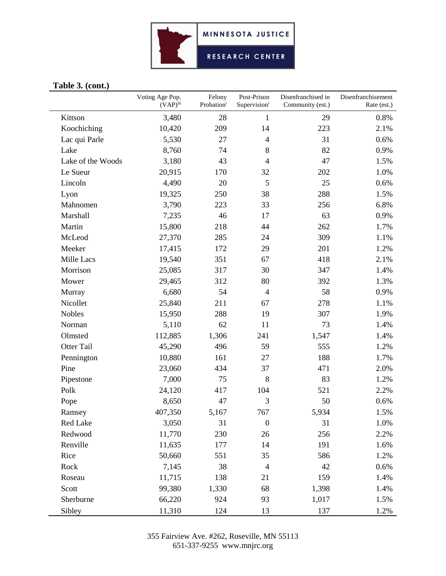

## **Table 3. (cont.)**

|                   | Voting Age Pop.<br>$(VAP)^{iii}$ | Felony<br>Probationi | Post-Prison<br>Supervisioni | Disenfranchised in<br>Community (est.) | Disenfranchisement<br>Rate (est.) |
|-------------------|----------------------------------|----------------------|-----------------------------|----------------------------------------|-----------------------------------|
| Kittson           | 3,480                            | 28                   | $\mathbf{1}$                | 29                                     | 0.8%                              |
| Koochiching       | 10,420                           | 209                  | 14                          | 223                                    | 2.1%                              |
| Lac qui Parle     | 5,530                            | 27                   | $\overline{4}$              | 31                                     | 0.6%                              |
| Lake              | 8,760                            | 74                   | 8                           | 82                                     | 0.9%                              |
| Lake of the Woods | 3,180                            | 43                   | $\overline{4}$              | 47                                     | 1.5%                              |
| Le Sueur          | 20,915                           | 170                  | 32                          | 202                                    | 1.0%                              |
| Lincoln           | 4,490                            | 20                   | 5                           | 25                                     | 0.6%                              |
| Lyon              | 19,325                           | 250                  | 38                          | 288                                    | 1.5%                              |
| Mahnomen          | 3,790                            | 223                  | 33                          | 256                                    | 6.8%                              |
| Marshall          | 7,235                            | 46                   | 17                          | 63                                     | 0.9%                              |
| Martin            | 15,800                           | 218                  | 44                          | 262                                    | 1.7%                              |
| McLeod            | 27,370                           | 285                  | 24                          | 309                                    | 1.1%                              |
| Meeker            | 17,415                           | 172                  | 29                          | 201                                    | 1.2%                              |
| Mille Lacs        | 19,540                           | 351                  | 67                          | 418                                    | 2.1%                              |
| Morrison          | 25,085                           | 317                  | 30                          | 347                                    | 1.4%                              |
| Mower             | 29,465                           | 312                  | 80                          | 392                                    | 1.3%                              |
| Murray            | 6,680                            | 54                   | $\overline{4}$              | 58                                     | 0.9%                              |
| Nicollet          | 25,840                           | 211                  | 67                          | 278                                    | 1.1%                              |
| <b>Nobles</b>     | 15,950                           | 288                  | 19                          | 307                                    | 1.9%                              |
| Norman            | 5,110                            | 62                   | 11                          | 73                                     | 1.4%                              |
| Olmsted           | 112,885                          | 1,306                | 241                         | 1,547                                  | 1.4%                              |
| <b>Otter Tail</b> | 45,290                           | 496                  | 59                          | 555                                    | 1.2%                              |
| Pennington        | 10,880                           | 161                  | 27                          | 188                                    | 1.7%                              |
| Pine              | 23,060                           | 434                  | 37                          | 471                                    | 2.0%                              |
| Pipestone         | 7,000                            | 75                   | 8                           | 83                                     | 1.2%                              |
| Polk              | 24,120                           | 417                  | 104                         | 521                                    | 2.2%                              |
| Pope              | 8,650                            | 47                   | 3                           | 50                                     | 0.6%                              |
| Ramsey            | 407,350                          | 5,167                | 767                         | 5,934                                  | 1.5%                              |
| Red Lake          | 3,050                            | 31                   | $\boldsymbol{0}$            | 31                                     | 1.0%                              |
| Redwood           | 11,770                           | 230                  | 26                          | 256                                    | 2.2%                              |
| Renville          | 11,635                           | 177                  | 14                          | 191                                    | 1.6%                              |
| Rice              | 50,660                           | 551                  | 35                          | 586                                    | 1.2%                              |
| Rock              | 7,145                            | 38                   | $\overline{4}$              | 42                                     | 0.6%                              |
| Roseau            | 11,715                           | 138                  | 21                          | 159                                    | 1.4%                              |
| Scott             | 99,380                           | 1,330                | 68                          | 1,398                                  | 1.4%                              |
| Sherburne         | 66,220                           | 924                  | 93                          | 1,017                                  | 1.5%                              |
| Sibley            | 11,310                           | 124                  | 13                          | 137                                    | 1.2%                              |